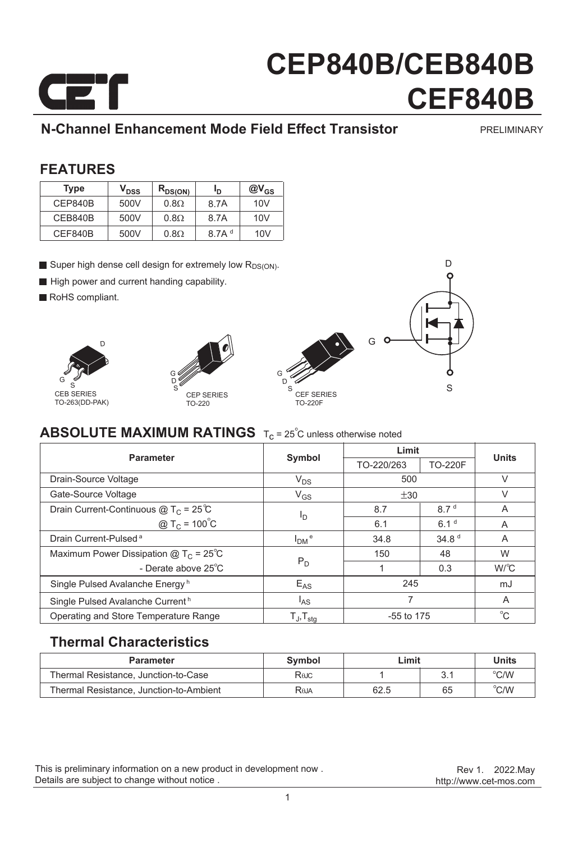

### **N-Channel Enhancement Mode Field Effect Transistor**

PRELIMINARY

#### **FEATURES**

| <b>Type</b> | V <sub>DSS</sub> | $R_{DS(ON)}$ | Ιŋ                | $@V_{GS}$ |
|-------------|------------------|--------------|-------------------|-----------|
| CEP840B     | 500V             | $0.8\Omega$  | 8.7A              | 10V       |
| CEB840B     | 500V             | $0.8\Omega$  | 8.7A              | 10V       |
| CEF840B     | 500V             | $0.8\Omega$  | 8.7A <sup>d</sup> | 10V       |

- Super high dense cell design for extremely low  $R_{DS(ON)}$ .
- High power and current handing capability.
- RoHS compliant.







D

### **ABSOLUTE MAXIMUM RATINGS**  $T_c = 25^\circ$ C unless otherwise noted

| <b>Parameter</b>                              | Symbol                     | Limit        |                   | <b>Units</b> |
|-----------------------------------------------|----------------------------|--------------|-------------------|--------------|
|                                               |                            | TO-220/263   | <b>TO-220F</b>    |              |
| Drain-Source Voltage                          | $V_{DS}$                   | 500          |                   | $\vee$       |
| Gate-Source Voltage                           | $V_{GS}$                   | ±30          |                   | V            |
| Drain Current-Continuous $@T_C = 25^{\circ}C$ | I <sub>D</sub>             | 8.7          | 8.7 <sup>d</sup>  | A            |
| @ T <sub>C</sub> = $100^{\circ}$ C            |                            | 6.1          | 6.1 <sup>d</sup>  | A            |
| Drain Current-Pulsed <sup>a</sup>             | $IDM$ <sup>e</sup>         | 34.8         | 34.8 <sup>d</sup> | A            |
| Maximum Power Dissipation $@TC = 25°C$        | $P_D$                      | 150          | 48                | W            |
| - Derate above 25°C                           |                            |              | 0.3               | $W^{\circ}C$ |
| Single Pulsed Avalanche Energy <sup>h</sup>   | $E_{AS}$                   | 245          |                   | mJ           |
| Single Pulsed Avalanche Current <sup>h</sup>  | <sup>I</sup> AS            | 7            |                   | A            |
| Operating and Store Temperature Range         | $T_{J}$ , $T_{\text{stq}}$ | $-55$ to 175 |                   | $^{\circ}$ C |

#### **Thermal Characteristics**

| <b>Parameter</b>                        | Symbol                   | ∟imit | Units |                         |
|-----------------------------------------|--------------------------|-------|-------|-------------------------|
| Thermal Resistance, Junction-to-Case    | Rejc                     |       |       | $\mathrm{C}/\mathrm{W}$ |
| Thermal Resistance, Junction-to-Ambient | <b>R</b> <sub>b</sub> JA | 62.5  | 65    | $^{\circ}$ C/W          |

This is preliminary information on a new product in development now . Details are subject to change without notice .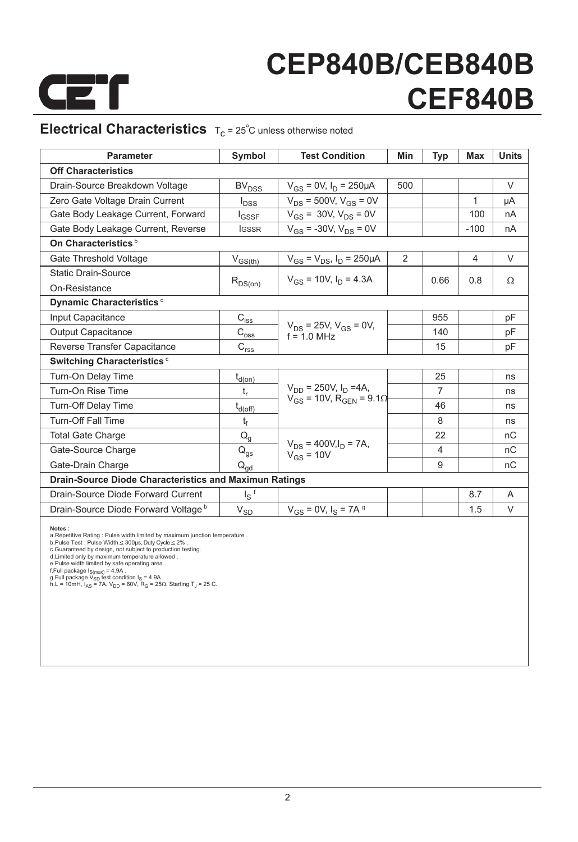

### **Electrical Characteristics**  $T_c = 25^\circ$ C unless otherwise noted

| <b>Off Characteristics</b><br>$V_{GS} = 0V$ , $I_D = 250 \mu A$<br>V<br>Drain-Source Breakdown Voltage<br>500<br>BV <sub>DSS</sub><br>$V_{DS}$ = 500V, $V_{GS}$ = 0V<br>Zero Gate Voltage Drain Current<br>1<br>μA<br>$I_{\text{DSS}}$<br>$V_{GS}$ = 30V, $V_{DS}$ = 0V<br>Gate Body Leakage Current, Forward<br>100<br>nA<br><b>I</b> GSSF<br>$V_{GS}$ = -30V, $V_{DS}$ = 0V<br>Gate Body Leakage Current, Reverse<br>$-100$<br><b>IGSSR</b><br>nA<br>On Characteristics <sup>b</sup><br>2<br>Gate Threshold Voltage<br>$V_{GS} = V_{DS}$ , $I_D = 250 \mu A$<br>4<br>V<br>$V_{GS(th)}$<br><b>Static Drain-Source</b><br>$V_{gs}$ = 10V, $I_D$ = 4.3A<br>0.66<br>0.8<br>$\Omega$<br>$R_{DS(on)}$<br>On-Resistance<br>Dynamic Characteristics <sup>c</sup><br>Input Capacitance<br>955<br>$C_{\text{iss}}$<br>pF<br>$V_{DS}$ = 25V, $V_{GS}$ = 0V,<br><b>Output Capacitance</b><br>140<br>$C_{\text{oss}}$<br>pF<br>$f = 10$ MHz<br>Reverse Transfer Capacitance<br>$\mathbf{C}_{\text{rss}}$<br>15<br>pF<br>Switching Characteristics <sup>c</sup><br>25<br>Turn-On Delay Time<br>$t_{d(on)}$<br>ns<br>$V_{DD} = 250V$ , $I_D = 4A$ , | <b>Parameter</b>  | Symbol  | <b>Test Condition</b> | Min | <b>Typ</b>     | Max | <b>Units</b> |
|----------------------------------------------------------------------------------------------------------------------------------------------------------------------------------------------------------------------------------------------------------------------------------------------------------------------------------------------------------------------------------------------------------------------------------------------------------------------------------------------------------------------------------------------------------------------------------------------------------------------------------------------------------------------------------------------------------------------------------------------------------------------------------------------------------------------------------------------------------------------------------------------------------------------------------------------------------------------------------------------------------------------------------------------------------------------------------------------------------------------------------------|-------------------|---------|-----------------------|-----|----------------|-----|--------------|
|                                                                                                                                                                                                                                                                                                                                                                                                                                                                                                                                                                                                                                                                                                                                                                                                                                                                                                                                                                                                                                                                                                                                        |                   |         |                       |     |                |     |              |
|                                                                                                                                                                                                                                                                                                                                                                                                                                                                                                                                                                                                                                                                                                                                                                                                                                                                                                                                                                                                                                                                                                                                        |                   |         |                       |     |                |     |              |
|                                                                                                                                                                                                                                                                                                                                                                                                                                                                                                                                                                                                                                                                                                                                                                                                                                                                                                                                                                                                                                                                                                                                        |                   |         |                       |     |                |     |              |
|                                                                                                                                                                                                                                                                                                                                                                                                                                                                                                                                                                                                                                                                                                                                                                                                                                                                                                                                                                                                                                                                                                                                        |                   |         |                       |     |                |     |              |
|                                                                                                                                                                                                                                                                                                                                                                                                                                                                                                                                                                                                                                                                                                                                                                                                                                                                                                                                                                                                                                                                                                                                        |                   |         |                       |     |                |     |              |
|                                                                                                                                                                                                                                                                                                                                                                                                                                                                                                                                                                                                                                                                                                                                                                                                                                                                                                                                                                                                                                                                                                                                        |                   |         |                       |     |                |     |              |
|                                                                                                                                                                                                                                                                                                                                                                                                                                                                                                                                                                                                                                                                                                                                                                                                                                                                                                                                                                                                                                                                                                                                        |                   |         |                       |     |                |     |              |
|                                                                                                                                                                                                                                                                                                                                                                                                                                                                                                                                                                                                                                                                                                                                                                                                                                                                                                                                                                                                                                                                                                                                        |                   |         |                       |     |                |     |              |
|                                                                                                                                                                                                                                                                                                                                                                                                                                                                                                                                                                                                                                                                                                                                                                                                                                                                                                                                                                                                                                                                                                                                        |                   |         |                       |     |                |     |              |
|                                                                                                                                                                                                                                                                                                                                                                                                                                                                                                                                                                                                                                                                                                                                                                                                                                                                                                                                                                                                                                                                                                                                        |                   |         |                       |     |                |     |              |
|                                                                                                                                                                                                                                                                                                                                                                                                                                                                                                                                                                                                                                                                                                                                                                                                                                                                                                                                                                                                                                                                                                                                        |                   |         |                       |     |                |     |              |
|                                                                                                                                                                                                                                                                                                                                                                                                                                                                                                                                                                                                                                                                                                                                                                                                                                                                                                                                                                                                                                                                                                                                        |                   |         |                       |     |                |     |              |
|                                                                                                                                                                                                                                                                                                                                                                                                                                                                                                                                                                                                                                                                                                                                                                                                                                                                                                                                                                                                                                                                                                                                        |                   |         |                       |     |                |     |              |
|                                                                                                                                                                                                                                                                                                                                                                                                                                                                                                                                                                                                                                                                                                                                                                                                                                                                                                                                                                                                                                                                                                                                        |                   |         |                       |     |                |     |              |
|                                                                                                                                                                                                                                                                                                                                                                                                                                                                                                                                                                                                                                                                                                                                                                                                                                                                                                                                                                                                                                                                                                                                        |                   |         |                       |     |                |     |              |
|                                                                                                                                                                                                                                                                                                                                                                                                                                                                                                                                                                                                                                                                                                                                                                                                                                                                                                                                                                                                                                                                                                                                        | Turn-On Rise Time | $t_{r}$ |                       |     | $\overline{7}$ |     | ns           |
| $V_{GS}$ = 10V, R <sub>GFN</sub> = 9.1 $\Omega$<br><b>Turn-Off Delay Time</b><br>46<br>$t_{d(off)}$<br>ns                                                                                                                                                                                                                                                                                                                                                                                                                                                                                                                                                                                                                                                                                                                                                                                                                                                                                                                                                                                                                              |                   |         |                       |     |                |     |              |
| <b>Turn-Off Fall Time</b><br>8<br>$t_f$<br>ns                                                                                                                                                                                                                                                                                                                                                                                                                                                                                                                                                                                                                                                                                                                                                                                                                                                                                                                                                                                                                                                                                          |                   |         |                       |     |                |     |              |
| 22<br><b>Total Gate Charge</b><br>$Q_q$<br>nC                                                                                                                                                                                                                                                                                                                                                                                                                                                                                                                                                                                                                                                                                                                                                                                                                                                                                                                                                                                                                                                                                          |                   |         |                       |     |                |     |              |
| $V_{DS}$ = 400V, $I_D$ = 7A,<br>nC<br>Gate-Source Charge<br>4<br>$\mathsf{Q}_{\mathsf{gs}}$<br>$V_{GS}$ = 10V                                                                                                                                                                                                                                                                                                                                                                                                                                                                                                                                                                                                                                                                                                                                                                                                                                                                                                                                                                                                                          |                   |         |                       |     |                |     |              |
| 9<br>Gate-Drain Charge<br>nC<br>$\mathsf{Q}_{\mathsf{qd}}$                                                                                                                                                                                                                                                                                                                                                                                                                                                                                                                                                                                                                                                                                                                                                                                                                                                                                                                                                                                                                                                                             |                   |         |                       |     |                |     |              |
| <b>Drain-Source Diode Characteristics and Maximun Ratings</b>                                                                                                                                                                                                                                                                                                                                                                                                                                                                                                                                                                                                                                                                                                                                                                                                                                                                                                                                                                                                                                                                          |                   |         |                       |     |                |     |              |
| $I_S$ <sup>f</sup><br>Drain-Source Diode Forward Current<br>8.7<br>A                                                                                                                                                                                                                                                                                                                                                                                                                                                                                                                                                                                                                                                                                                                                                                                                                                                                                                                                                                                                                                                                   |                   |         |                       |     |                |     |              |
| Drain-Source Diode Forward Voltage b<br>$V_{GS} = 0V$ , $I_S = 7A$ <sup>g</sup><br>V<br>1.5<br>$V_{SD}$                                                                                                                                                                                                                                                                                                                                                                                                                                                                                                                                                                                                                                                                                                                                                                                                                                                                                                                                                                                                                                |                   |         |                       |     |                |     |              |

**Notes :**<br> **Alternation**: Pulse width limited by maximum junction temperature a.<br>
B.Pulse Test : Pulse Width ≤ 300µs, Duty Cycle ≤ 2% .<br>
C.Guaranteed by design, not subject to production testing.<br>
d.Limited only by maximu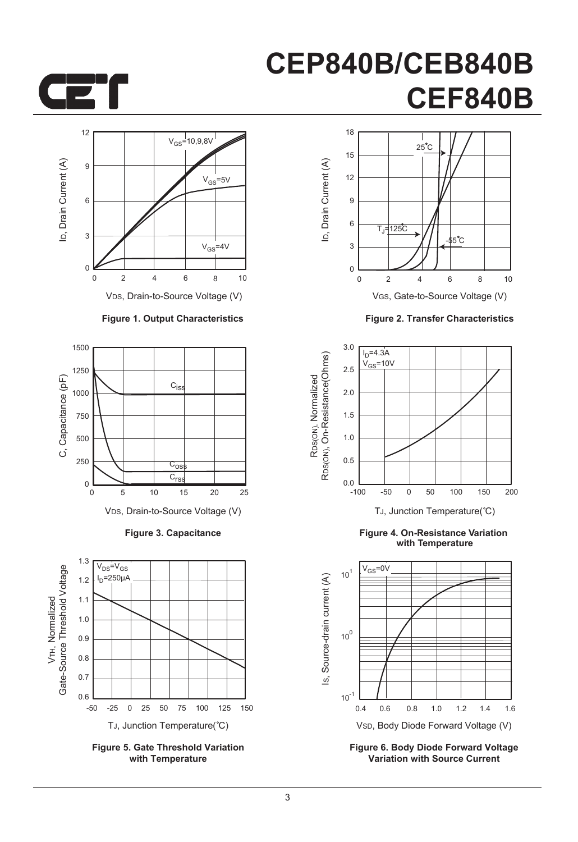



#### **Figure 1. Output Characteristics**



**Figure 3. Capacitance**



**Figure 5. Gate Threshold Variation with Temperature**



**Figure 2. Transfer Characteristics**



**Figure 4. On-Resistance Variation with Temperature**



**Figure 6. Body Diode Forward Voltage Variation with Source Current**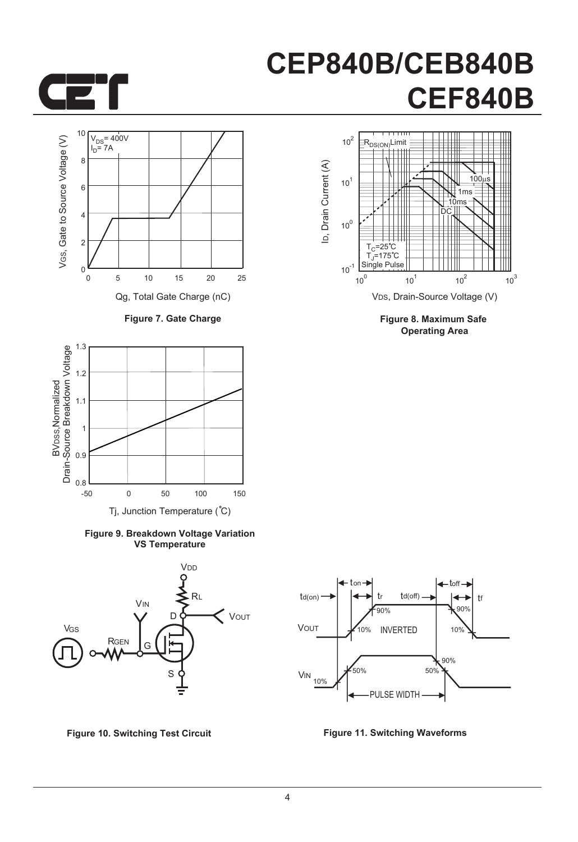



**Figure 7. Gate Charge**



**Figure 9. Breakdown Voltage Variation VS Temperature**



**Figure 10. Switching Test Circuit Figure 11. Switching Waveforms**



**Figure 8. Maximum Safe Operating Area**